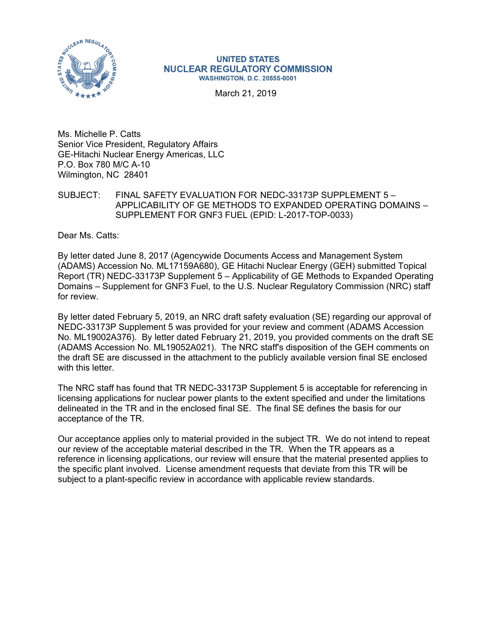

#### **UNITED STATES NUCLEAR REGULATORY COMMISSION WASHINGTON, D.C. 20555-0001**

March 21, 2019

Ms. Michelle P. Catts Senior Vice President, Regulatory Affairs GE-Hitachi Nuclear Energy Americas, LLC P.O. Box 780 M/C A-10 Wilmington, NC 28401

### SUBJECT: FINAL SAFETY EVALUATION FOR NEDC-33173P SUPPLEMENT 5 – APPLICABILITY OF GE METHODS TO EXPANDED OPERATING DOMAINS – SUPPLEMENT FOR GNF3 FUEL (EPID: L-2017-TOP-0033)

Dear Ms. Catts:

By letter dated June 8, 2017 (Agencywide Documents Access and Management System (ADAMS) Accession No. ML17159A680), GE Hitachi Nuclear Energy (GEH) submitted Topical Report (TR) NEDC-33173P Supplement 5 – Applicability of GE Methods to Expanded Operating Domains – Supplement for GNF3 Fuel, to the U.S. Nuclear Regulatory Commission (NRC) staff for review.

By letter dated February 5, 2019, an NRC draft safety evaluation (SE) regarding our approval of NEDC-33173P Supplement 5 was provided for your review and comment (ADAMS Accession No. ML19002A376). By letter dated February 21, 2019, you provided comments on the draft SE (ADAMS Accession No. ML19052A021). The NRC staff's disposition of the GEH comments on the draft SE are discussed in the attachment to the publicly available version final SE enclosed with this letter.

The NRC staff has found that TR NEDC-33173P Supplement 5 is acceptable for referencing in licensing applications for nuclear power plants to the extent specified and under the limitations delineated in the TR and in the enclosed final SE. The final SE defines the basis for our acceptance of the TR.

Our acceptance applies only to material provided in the subject TR. We do not intend to repeat our review of the acceptable material described in the TR. When the TR appears as a reference in licensing applications, our review will ensure that the material presented applies to the specific plant involved. License amendment requests that deviate from this TR will be subject to a plant-specific review in accordance with applicable review standards.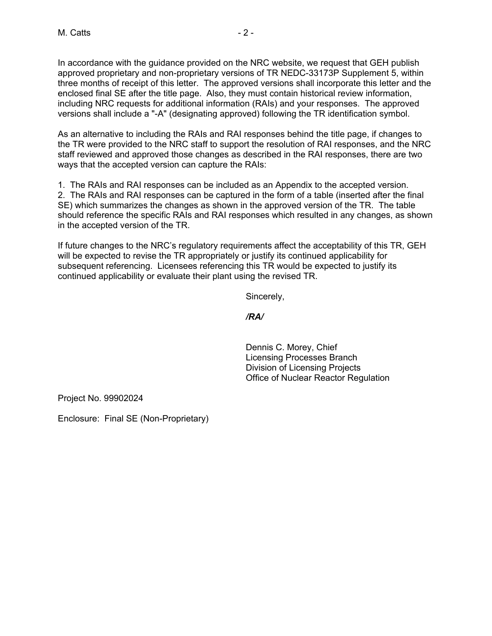In accordance with the guidance provided on the NRC website, we request that GEH publish approved proprietary and non-proprietary versions of TR NEDC-33173P Supplement 5, within three months of receipt of this letter. The approved versions shall incorporate this letter and the enclosed final SE after the title page. Also, they must contain historical review information, including NRC requests for additional information (RAIs) and your responses. The approved versions shall include a "-A" (designating approved) following the TR identification symbol.

As an alternative to including the RAIs and RAI responses behind the title page, if changes to the TR were provided to the NRC staff to support the resolution of RAI responses, and the NRC staff reviewed and approved those changes as described in the RAI responses, there are two ways that the accepted version can capture the RAIs:

1. The RAIs and RAI responses can be included as an Appendix to the accepted version. 2. The RAIs and RAI responses can be captured in the form of a table (inserted after the final SE) which summarizes the changes as shown in the approved version of the TR. The table should reference the specific RAIs and RAI responses which resulted in any changes, as shown in the accepted version of the TR.

If future changes to the NRC's regulatory requirements affect the acceptability of this TR, GEH will be expected to revise the TR appropriately or justify its continued applicability for subsequent referencing. Licensees referencing this TR would be expected to justify its continued applicability or evaluate their plant using the revised TR.

Sincerely,

*/RA/* 

Dennis C. Morey, Chief Licensing Processes Branch Division of Licensing Projects Office of Nuclear Reactor Regulation

Project No. 99902024

Enclosure: Final SE (Non-Proprietary)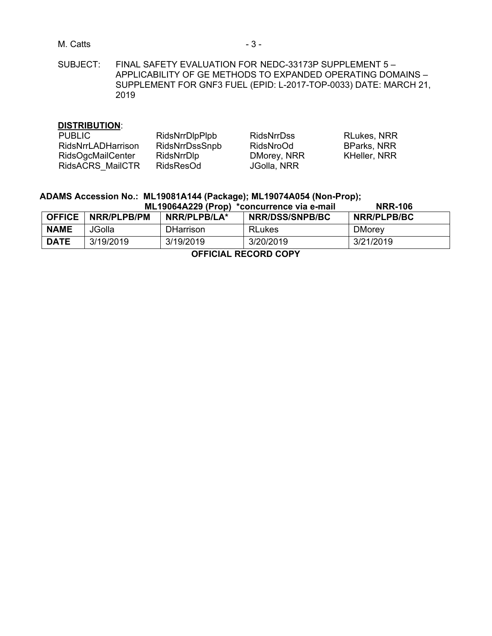M. Catts **- 3 -** 3 -

SUBJECT: FINAL SAFETY EVALUATION FOR NEDC-33173P SUPPLEMENT 5 – APPLICABILITY OF GE METHODS TO EXPANDED OPERATING DOMAINS – SUPPLEMENT FOR GNF3 FUEL (EPID: L-2017-TOP-0033) DATE: MARCH 21, 2019

### **DISTRIBUTION**:

| <b>PUBLIC</b>             | <b>RidsNrrDlpPlpb</b> | <b>RidsNrrDss</b> | <b>RLukes, NRR</b> |
|---------------------------|-----------------------|-------------------|--------------------|
| <b>RidsNrrLADHarrison</b> | <b>RidsNrrDssSnpb</b> | RidsNroOd         | <b>BParks, NRR</b> |
| <b>RidsOgcMailCenter</b>  | RidsNrrDlp            | DMorey, NRR       | KHeller, NRR       |
| RidsACRS MailCTR          | RidsResOd             | JGolla, NRR       |                    |

# **ADAMS Accession No.: ML19081A144 (Package); ML19074A054 (Non-Prop);**

| ML19064A229 (Prop) *concurrence via e-mail |             |              |                        | <b>NRR-106</b> |
|--------------------------------------------|-------------|--------------|------------------------|----------------|
| <b>OFFICE</b>                              | NRR/PLPB/PM | NRR/PLPB/LA* | <b>NRR/DSS/SNPB/BC</b> | NRR/PLPB/BC    |
| <b>NAME</b>                                | JGolla      | DHarrison.   | <b>RLukes</b>          | <b>DMorey</b>  |
| <b>DATE</b>                                | 3/19/2019   | 3/19/2019    | 3/20/2019              | 3/21/2019      |

**OFFICIAL RECORD COPY**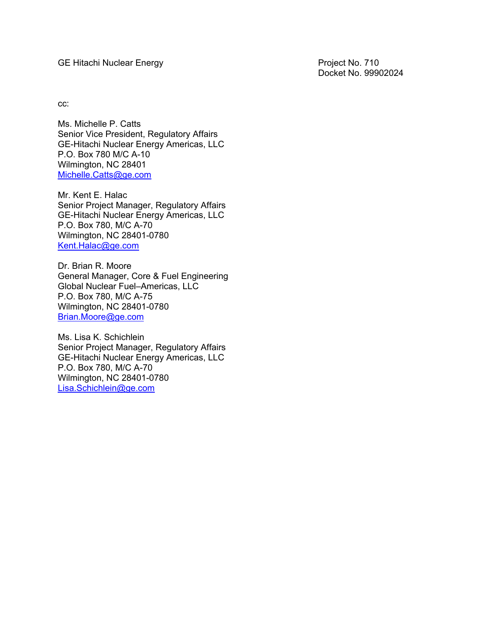GE Hitachi Nuclear Energy **Project No. 710** Project No. 710

Docket No. 99902024

cc:

Ms. Michelle P. Catts Senior Vice President, Regulatory Affairs GE-Hitachi Nuclear Energy Americas, LLC P.O. Box 780 M/C A-10 Wilmington, NC 28401 Michelle.Catts@ge.com

Mr. Kent E. Halac Senior Project Manager, Regulatory Affairs GE-Hitachi Nuclear Energy Americas, LLC P.O. Box 780, M/C A-70 Wilmington, NC 28401-0780 Kent.Halac@ge.com

Dr. Brian R. Moore General Manager, Core & Fuel Engineering Global Nuclear Fuel–Americas, LLC P.O. Box 780, M/C A-75 Wilmington, NC 28401-0780 Brian.Moore@ge.com

Ms. Lisa K. Schichlein Senior Project Manager, Regulatory Affairs GE-Hitachi Nuclear Energy Americas, LLC P.O. Box 780, M/C A-70 Wilmington, NC 28401-0780 Lisa.Schichlein@ge.com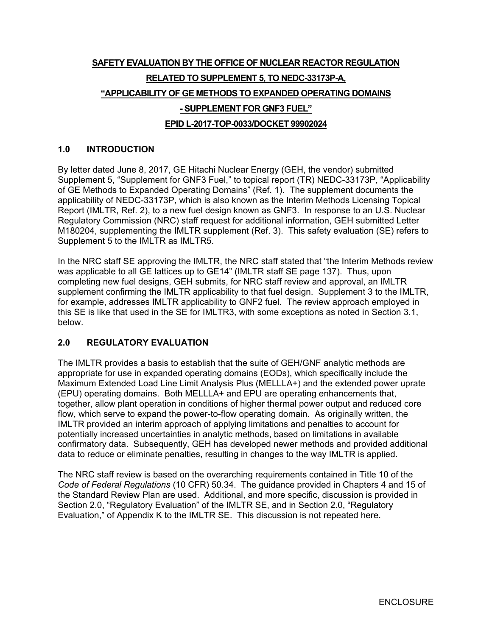# **SAFETY EVALUATION BY THE OFFICE OF NUCLEAR REACTOR REGULATION RELATED TO SUPPLEMENT 5, TO NEDC-33173P-A, "APPLICABILITY OF GE METHODS TO EXPANDED OPERATING DOMAINS - SUPPLEMENT FOR GNF3 FUEL" EPID L-2017-TOP-0033/DOCKET 99902024**

### **1.0 INTRODUCTION**

By letter dated June 8, 2017, GE Hitachi Nuclear Energy (GEH, the vendor) submitted Supplement 5, "Supplement for GNF3 Fuel," to topical report (TR) NEDC-33173P, "Applicability of GE Methods to Expanded Operating Domains" (Ref. 1). The supplement documents the applicability of NEDC-33173P, which is also known as the Interim Methods Licensing Topical Report (IMLTR, Ref. 2), to a new fuel design known as GNF3. In response to an U.S. Nuclear Regulatory Commission (NRC) staff request for additional information, GEH submitted Letter M180204, supplementing the IMLTR supplement (Ref. 3). This safety evaluation (SE) refers to Supplement 5 to the IMLTR as IMLTR5.

In the NRC staff SE approving the IMLTR, the NRC staff stated that "the Interim Methods review was applicable to all GE lattices up to GE14" (IMLTR staff SE page 137). Thus, upon completing new fuel designs, GEH submits, for NRC staff review and approval, an IMLTR supplement confirming the IMLTR applicability to that fuel design. Supplement 3 to the IMLTR, for example, addresses IMLTR applicability to GNF2 fuel. The review approach employed in this SE is like that used in the SE for IMLTR3, with some exceptions as noted in Section 3.1, below.

### **2.0 REGULATORY EVALUATION**

The IMLTR provides a basis to establish that the suite of GEH/GNF analytic methods are appropriate for use in expanded operating domains (EODs), which specifically include the Maximum Extended Load Line Limit Analysis Plus (MELLLA+) and the extended power uprate (EPU) operating domains. Both MELLLA+ and EPU are operating enhancements that, together, allow plant operation in conditions of higher thermal power output and reduced core flow, which serve to expand the power-to-flow operating domain. As originally written, the IMLTR provided an interim approach of applying limitations and penalties to account for potentially increased uncertainties in analytic methods, based on limitations in available confirmatory data. Subsequently, GEH has developed newer methods and provided additional data to reduce or eliminate penalties, resulting in changes to the way IMLTR is applied.

The NRC staff review is based on the overarching requirements contained in Title 10 of the *Code of Federal Regulations* (10 CFR) 50.34. The guidance provided in Chapters 4 and 15 of the Standard Review Plan are used. Additional, and more specific, discussion is provided in Section 2.0, "Regulatory Evaluation" of the IMLTR SE, and in Section 2.0, "Regulatory Evaluation," of Appendix K to the IMLTR SE. This discussion is not repeated here.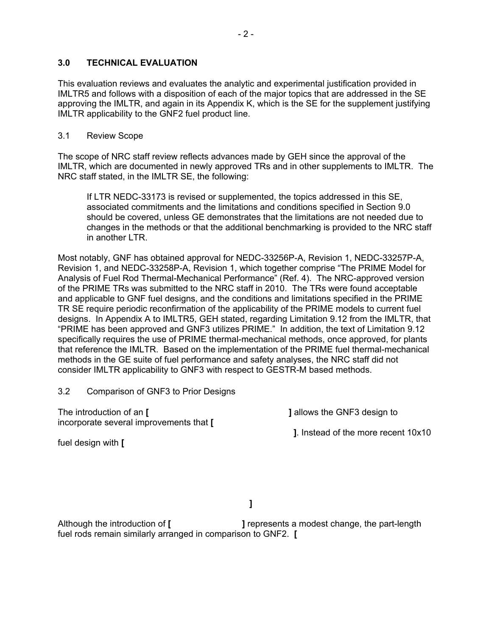### **3.0 TECHNICAL EVALUATION**

This evaluation reviews and evaluates the analytic and experimental justification provided in IMLTR5 and follows with a disposition of each of the major topics that are addressed in the SE approving the IMLTR, and again in its Appendix K, which is the SE for the supplement justifying IMLTR applicability to the GNF2 fuel product line.

### 3.1 Review Scope

The scope of NRC staff review reflects advances made by GEH since the approval of the IMLTR, which are documented in newly approved TRs and in other supplements to IMLTR. The NRC staff stated, in the IMLTR SE, the following:

If LTR NEDC-33173 is revised or supplemented, the topics addressed in this SE, associated commitments and the limitations and conditions specified in Section 9.0 should be covered, unless GE demonstrates that the limitations are not needed due to changes in the methods or that the additional benchmarking is provided to the NRC staff in another LTR.

Most notably, GNF has obtained approval for NEDC-33256P-A, Revision 1, NEDC-33257P-A, Revision 1, and NEDC-33258P-A, Revision 1, which together comprise "The PRIME Model for Analysis of Fuel Rod Thermal-Mechanical Performance" (Ref. 4). The NRC-approved version of the PRIME TRs was submitted to the NRC staff in 2010. The TRs were found acceptable and applicable to GNF fuel designs, and the conditions and limitations specified in the PRIME TR SE require periodic reconfirmation of the applicability of the PRIME models to current fuel designs. In Appendix A to IMLTR5, GEH stated, regarding Limitation 9.12 from the IMLTR, that "PRIME has been approved and GNF3 utilizes PRIME." In addition, the text of Limitation 9.12 specifically requires the use of PRIME thermal-mechanical methods, once approved, for plants that reference the IMLTR. Based on the implementation of the PRIME fuel thermal-mechanical methods in the GE suite of fuel performance and safety analyses, the NRC staff did not consider IMLTR applicability to GNF3 with respect to GESTR-M based methods.

3.2 Comparison of GNF3 to Prior Designs

The introduction of an **[ ]** allows the GNF3 design to incorporate several improvements that **[** 

 **]**. Instead of the more recent 10x10

fuel design with **[** 

 **]**

Although the introduction of **[ ]** represents a modest change, the part-length fuel rods remain similarly arranged in comparison to GNF2. **[**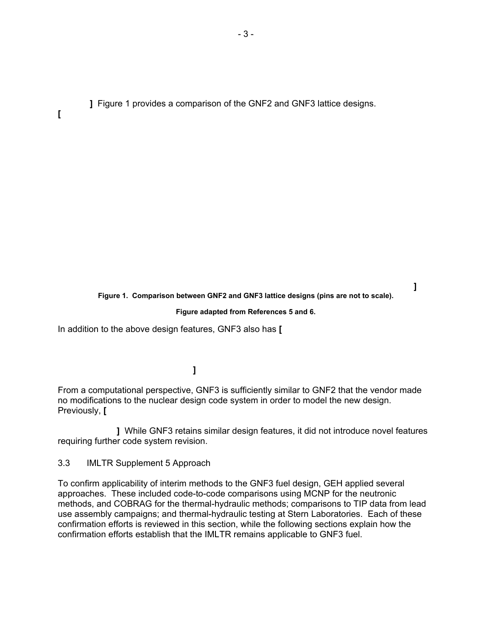**]** Figure 1 provides a comparison of the GNF2 and GNF3 lattice designs.

**[**

 **] Figure 1. Comparison between GNF2 and GNF3 lattice designs (pins are not to scale).** 

#### **Figure adapted from References 5 and 6.**

In addition to the above design features, GNF3 also has **[** 

 **]**

From a computational perspective, GNF3 is sufficiently similar to GNF2 that the vendor made no modifications to the nuclear design code system in order to model the new design. Previously, **[** 

 **]** While GNF3 retains similar design features, it did not introduce novel features requiring further code system revision.

3.3 IMLTR Supplement 5 Approach

To confirm applicability of interim methods to the GNF3 fuel design, GEH applied several approaches. These included code-to-code comparisons using MCNP for the neutronic methods, and COBRAG for the thermal-hydraulic methods; comparisons to TIP data from lead use assembly campaigns; and thermal-hydraulic testing at Stern Laboratories. Each of these confirmation efforts is reviewed in this section, while the following sections explain how the confirmation efforts establish that the IMLTR remains applicable to GNF3 fuel.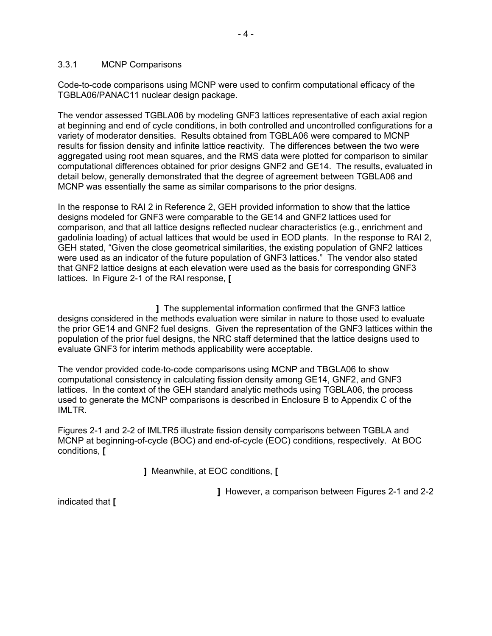#### 3.3.1 MCNP Comparisons

Code-to-code comparisons using MCNP were used to confirm computational efficacy of the TGBLA06/PANAC11 nuclear design package.

The vendor assessed TGBLA06 by modeling GNF3 lattices representative of each axial region at beginning and end of cycle conditions, in both controlled and uncontrolled configurations for a variety of moderator densities. Results obtained from TGBLA06 were compared to MCNP results for fission density and infinite lattice reactivity. The differences between the two were aggregated using root mean squares, and the RMS data were plotted for comparison to similar computational differences obtained for prior designs GNF2 and GE14. The results, evaluated in detail below, generally demonstrated that the degree of agreement between TGBLA06 and MCNP was essentially the same as similar comparisons to the prior designs.

In the response to RAI 2 in Reference 2, GEH provided information to show that the lattice designs modeled for GNF3 were comparable to the GE14 and GNF2 lattices used for comparison, and that all lattice designs reflected nuclear characteristics (e.g., enrichment and gadolinia loading) of actual lattices that would be used in EOD plants. In the response to RAI 2, GEH stated, "Given the close geometrical similarities, the existing population of GNF2 lattices were used as an indicator of the future population of GNF3 lattices." The vendor also stated that GNF2 lattice designs at each elevation were used as the basis for corresponding GNF3 lattices. In Figure 2-1 of the RAI response, **[** 

 **]** The supplemental information confirmed that the GNF3 lattice designs considered in the methods evaluation were similar in nature to those used to evaluate the prior GE14 and GNF2 fuel designs. Given the representation of the GNF3 lattices within the population of the prior fuel designs, the NRC staff determined that the lattice designs used to evaluate GNF3 for interim methods applicability were acceptable.

The vendor provided code-to-code comparisons using MCNP and TBGLA06 to show computational consistency in calculating fission density among GE14, GNF2, and GNF3 lattices. In the context of the GEH standard analytic methods using TGBLA06, the process used to generate the MCNP comparisons is described in Enclosure B to Appendix C of the IMLTR.

Figures 2-1 and 2-2 of IMLTR5 illustrate fission density comparisons between TGBLA and MCNP at beginning-of-cycle (BOC) and end-of-cycle (EOC) conditions, respectively. At BOC conditions, **[** 

 **]** Meanwhile, at EOC conditions, **[** 

 **]** However, a comparison between Figures 2-1 and 2-2

indicated that **[**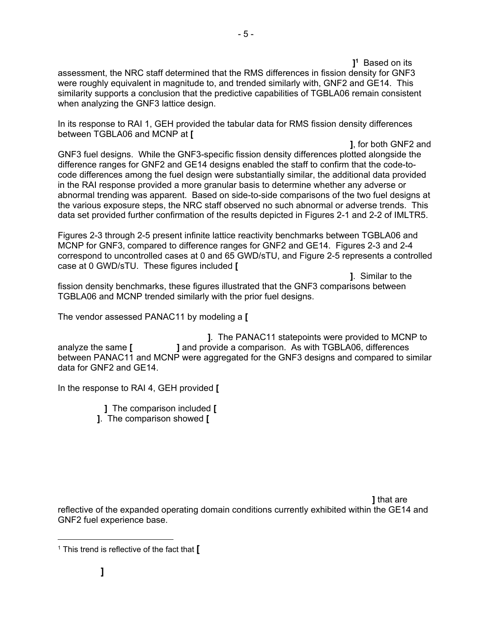**]1** 1<sup>1</sup> Based on its assessment, the NRC staff determined that the RMS differences in fission density for GNF3 were roughly equivalent in magnitude to, and trended similarly with, GNF2 and GE14. This similarity supports a conclusion that the predictive capabilities of TGBLA06 remain consistent when analyzing the GNF3 lattice design.

In its response to RAI 1, GEH provided the tabular data for RMS fission density differences between TGBLA06 and MCNP at **[** 

 **]**, for both GNF2 and GNF3 fuel designs. While the GNF3-specific fission density differences plotted alongside the difference ranges for GNF2 and GE14 designs enabled the staff to confirm that the code-tocode differences among the fuel design were substantially similar, the additional data provided in the RAI response provided a more granular basis to determine whether any adverse or abnormal trending was apparent. Based on side-to-side comparisons of the two fuel designs at the various exposure steps, the NRC staff observed no such abnormal or adverse trends. This data set provided further confirmation of the results depicted in Figures 2-1 and 2-2 of IMLTR5.

Figures 2-3 through 2-5 present infinite lattice reactivity benchmarks between TGBLA06 and MCNP for GNF3, compared to difference ranges for GNF2 and GE14. Figures 2-3 and 2-4 correspond to uncontrolled cases at 0 and 65 GWD/sTU, and Figure 2-5 represents a controlled case at 0 GWD/sTU. These figures included **[** 

 **]**. Similar to the fission density benchmarks, these figures illustrated that the GNF3 comparisons between TGBLA06 and MCNP trended similarly with the prior fuel designs.

The vendor assessed PANAC11 by modeling a **[** 

 **]**. The PANAC11 statepoints were provided to MCNP to analyze the same **[ ]** and provide a comparison. As with TGBLA06, differences between PANAC11 and MCNP were aggregated for the GNF3 designs and compared to similar data for GNF2 and GE14.

In the response to RAI 4, GEH provided **[** 

 **]** The comparison included **[ ]**. The comparison showed **[** 

 **]** that are reflective of the expanded operating domain conditions currently exhibited within the GE14 and GNF2 fuel experience base.

-

<sup>1</sup> This trend is reflective of the fact that **[**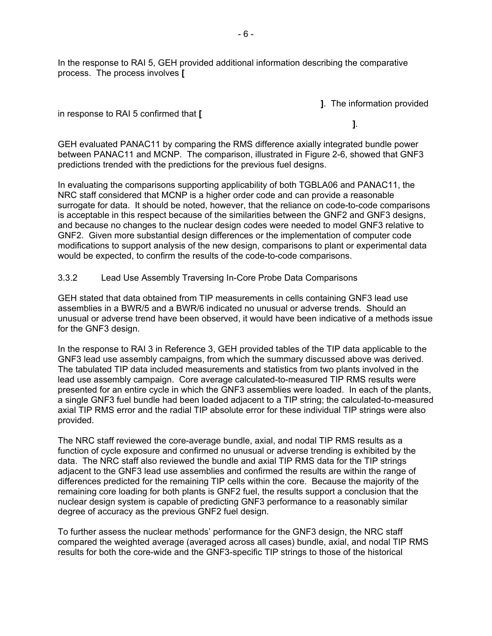In the response to RAI 5, GEH provided additional information describing the comparative process. The process involves **[** 

 **]**. The information provided

#### in response to RAI 5 confirmed that **[**

 **]**.

GEH evaluated PANAC11 by comparing the RMS difference axially integrated bundle power between PANAC11 and MCNP. The comparison, illustrated in Figure 2-6, showed that GNF3 predictions trended with the predictions for the previous fuel designs.

In evaluating the comparisons supporting applicability of both TGBLA06 and PANAC11, the NRC staff considered that MCNP is a higher order code and can provide a reasonable surrogate for data. It should be noted, however, that the reliance on code-to-code comparisons is acceptable in this respect because of the similarities between the GNF2 and GNF3 designs, and because no changes to the nuclear design codes were needed to model GNF3 relative to GNF2. Given more substantial design differences or the implementation of computer code modifications to support analysis of the new design, comparisons to plant or experimental data would be expected, to confirm the results of the code-to-code comparisons.

### 3.3.2 Lead Use Assembly Traversing In-Core Probe Data Comparisons

GEH stated that data obtained from TIP measurements in cells containing GNF3 lead use assemblies in a BWR/5 and a BWR/6 indicated no unusual or adverse trends. Should an unusual or adverse trend have been observed, it would have been indicative of a methods issue for the GNF3 design.

In the response to RAI 3 in Reference 3, GEH provided tables of the TIP data applicable to the GNF3 lead use assembly campaigns, from which the summary discussed above was derived. The tabulated TIP data included measurements and statistics from two plants involved in the lead use assembly campaign. Core average calculated-to-measured TIP RMS results were presented for an entire cycle in which the GNF3 assemblies were loaded. In each of the plants, a single GNF3 fuel bundle had been loaded adjacent to a TIP string; the calculated-to-measured axial TIP RMS error and the radial TIP absolute error for these individual TIP strings were also provided.

The NRC staff reviewed the core-average bundle, axial, and nodal TIP RMS results as a function of cycle exposure and confirmed no unusual or adverse trending is exhibited by the data. The NRC staff also reviewed the bundle and axial TIP RMS data for the TIP strings adjacent to the GNF3 lead use assemblies and confirmed the results are within the range of differences predicted for the remaining TIP cells within the core. Because the majority of the remaining core loading for both plants is GNF2 fuel, the results support a conclusion that the nuclear design system is capable of predicting GNF3 performance to a reasonably similar degree of accuracy as the previous GNF2 fuel design.

To further assess the nuclear methods' performance for the GNF3 design, the NRC staff compared the weighted average (averaged across all cases) bundle, axial, and nodal TIP RMS results for both the core-wide and the GNF3-specific TIP strings to those of the historical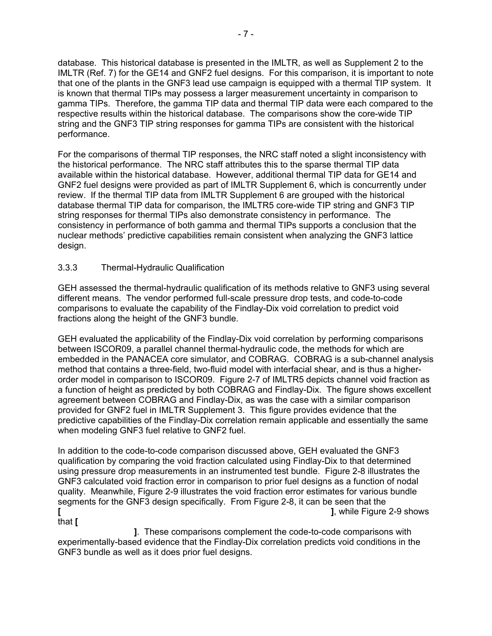database. This historical database is presented in the IMLTR, as well as Supplement 2 to the IMLTR (Ref. 7) for the GE14 and GNF2 fuel designs. For this comparison, it is important to note that one of the plants in the GNF3 lead use campaign is equipped with a thermal TIP system. It is known that thermal TIPs may possess a larger measurement uncertainty in comparison to gamma TIPs. Therefore, the gamma TIP data and thermal TIP data were each compared to the respective results within the historical database. The comparisons show the core-wide TIP string and the GNF3 TIP string responses for gamma TIPs are consistent with the historical performance.

For the comparisons of thermal TIP responses, the NRC staff noted a slight inconsistency with the historical performance. The NRC staff attributes this to the sparse thermal TIP data available within the historical database. However, additional thermal TIP data for GE14 and GNF2 fuel designs were provided as part of IMLTR Supplement 6, which is concurrently under review. If the thermal TIP data from IMLTR Supplement 6 are grouped with the historical database thermal TIP data for comparison, the IMLTR5 core-wide TIP string and GNF3 TIP string responses for thermal TIPs also demonstrate consistency in performance. The consistency in performance of both gamma and thermal TIPs supports a conclusion that the nuclear methods' predictive capabilities remain consistent when analyzing the GNF3 lattice design.

### 3.3.3 Thermal-Hydraulic Qualification

GEH assessed the thermal-hydraulic qualification of its methods relative to GNF3 using several different means. The vendor performed full-scale pressure drop tests, and code-to-code comparisons to evaluate the capability of the Findlay-Dix void correlation to predict void fractions along the height of the GNF3 bundle.

GEH evaluated the applicability of the Findlay-Dix void correlation by performing comparisons between ISCOR09, a parallel channel thermal-hydraulic code, the methods for which are embedded in the PANACEA core simulator, and COBRAG. COBRAG is a sub-channel analysis method that contains a three-field, two-fluid model with interfacial shear, and is thus a higherorder model in comparison to ISCOR09. Figure 2-7 of IMLTR5 depicts channel void fraction as a function of height as predicted by both COBRAG and Findlay-Dix. The figure shows excellent agreement between COBRAG and Findlay-Dix, as was the case with a similar comparison provided for GNF2 fuel in IMLTR Supplement 3. This figure provides evidence that the predictive capabilities of the Findlay-Dix correlation remain applicable and essentially the same when modeling GNF3 fuel relative to GNF2 fuel.

In addition to the code-to-code comparison discussed above, GEH evaluated the GNF3 qualification by comparing the void fraction calculated using Findlay-Dix to that determined using pressure drop measurements in an instrumented test bundle. Figure 2-8 illustrates the GNF3 calculated void fraction error in comparison to prior fuel designs as a function of nodal quality. Meanwhile, Figure 2-9 illustrates the void fraction error estimates for various bundle segments for the GNF3 design specifically. From Figure 2-8, it can be seen that the **[ ]**, while Figure 2-9 shows that **[** 

 **]**. These comparisons complement the code-to-code comparisons with experimentally-based evidence that the Findlay-Dix correlation predicts void conditions in the GNF3 bundle as well as it does prior fuel designs.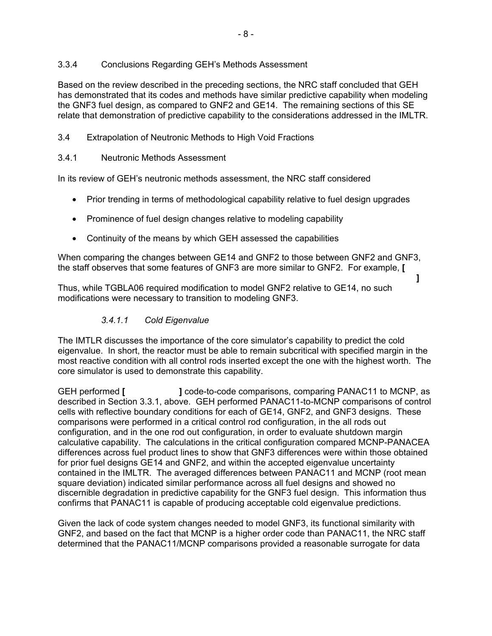### 3.3.4 Conclusions Regarding GEH's Methods Assessment

Based on the review described in the preceding sections, the NRC staff concluded that GEH has demonstrated that its codes and methods have similar predictive capability when modeling the GNF3 fuel design, as compared to GNF2 and GE14. The remaining sections of this SE relate that demonstration of predictive capability to the considerations addressed in the IMLTR.

3.4 Extrapolation of Neutronic Methods to High Void Fractions

### 3.4.1 Neutronic Methods Assessment

In its review of GEH's neutronic methods assessment, the NRC staff considered

- Prior trending in terms of methodological capability relative to fuel design upgrades
- Prominence of fuel design changes relative to modeling capability
- Continuity of the means by which GEH assessed the capabilities

When comparing the changes between GE14 and GNF2 to those between GNF2 and GNF3, the staff observes that some features of GNF3 are more similar to GNF2. For example, **[** 

 $\mathbf{a} = \mathbf{a} \cdot \mathbf{a}$  , we can also assume that  $\mathbf{a} = \mathbf{a} \cdot \mathbf{a}$  ,  $\mathbf{a} = \mathbf{a} \cdot \mathbf{a}$ Thus, while TGBLA06 required modification to model GNF2 relative to GE14, no such modifications were necessary to transition to modeling GNF3.

### *3.4.1.1 Cold Eigenvalue*

The IMTLR discusses the importance of the core simulator's capability to predict the cold eigenvalue. In short, the reactor must be able to remain subcritical with specified margin in the most reactive condition with all control rods inserted except the one with the highest worth. The core simulator is used to demonstrate this capability.

GEH performed **[ ]** code-to-code comparisons, comparing PANAC11 to MCNP, as described in Section 3.3.1, above. GEH performed PANAC11-to-MCNP comparisons of control cells with reflective boundary conditions for each of GE14, GNF2, and GNF3 designs. These comparisons were performed in a critical control rod configuration, in the all rods out configuration, and in the one rod out configuration, in order to evaluate shutdown margin calculative capability. The calculations in the critical configuration compared MCNP-PANACEA differences across fuel product lines to show that GNF3 differences were within those obtained for prior fuel designs GE14 and GNF2, and within the accepted eigenvalue uncertainty contained in the IMLTR. The averaged differences between PANAC11 and MCNP (root mean square deviation) indicated similar performance across all fuel designs and showed no discernible degradation in predictive capability for the GNF3 fuel design. This information thus confirms that PANAC11 is capable of producing acceptable cold eigenvalue predictions.

Given the lack of code system changes needed to model GNF3, its functional similarity with GNF2, and based on the fact that MCNP is a higher order code than PANAC11, the NRC staff determined that the PANAC11/MCNP comparisons provided a reasonable surrogate for data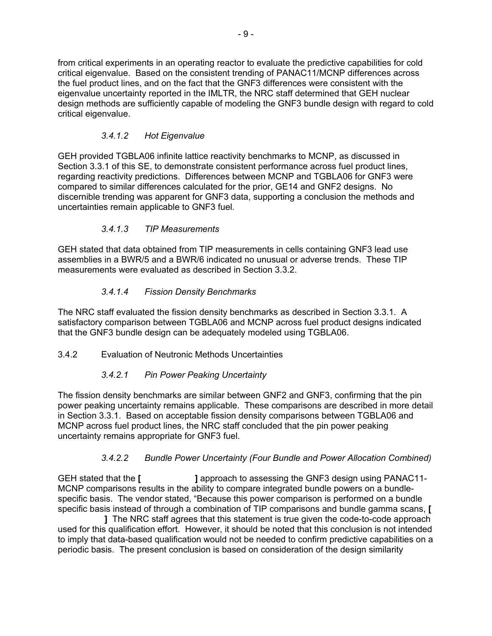from critical experiments in an operating reactor to evaluate the predictive capabilities for cold critical eigenvalue. Based on the consistent trending of PANAC11/MCNP differences across the fuel product lines, and on the fact that the GNF3 differences were consistent with the eigenvalue uncertainty reported in the IMLTR, the NRC staff determined that GEH nuclear design methods are sufficiently capable of modeling the GNF3 bundle design with regard to cold critical eigenvalue.

# *3.4.1.2 Hot Eigenvalue*

GEH provided TGBLA06 infinite lattice reactivity benchmarks to MCNP, as discussed in Section 3.3.1 of this SE, to demonstrate consistent performance across fuel product lines, regarding reactivity predictions. Differences between MCNP and TGBLA06 for GNF3 were compared to similar differences calculated for the prior, GE14 and GNF2 designs. No discernible trending was apparent for GNF3 data, supporting a conclusion the methods and uncertainties remain applicable to GNF3 fuel.

# *3.4.1.3 TIP Measurements*

GEH stated that data obtained from TIP measurements in cells containing GNF3 lead use assemblies in a BWR/5 and a BWR/6 indicated no unusual or adverse trends. These TIP measurements were evaluated as described in Section 3.3.2.

# *3.4.1.4 Fission Density Benchmarks*

The NRC staff evaluated the fission density benchmarks as described in Section 3.3.1. A satisfactory comparison between TGBLA06 and MCNP across fuel product designs indicated that the GNF3 bundle design can be adequately modeled using TGBLA06.

# 3.4.2 Evaluation of Neutronic Methods Uncertainties

# *3.4.2.1 Pin Power Peaking Uncertainty*

The fission density benchmarks are similar between GNF2 and GNF3, confirming that the pin power peaking uncertainty remains applicable. These comparisons are described in more detail in Section 3.3.1. Based on acceptable fission density comparisons between TGBLA06 and MCNP across fuel product lines, the NRC staff concluded that the pin power peaking uncertainty remains appropriate for GNF3 fuel.

# *3.4.2.2 Bundle Power Uncertainty (Four Bundle and Power Allocation Combined)*

GEH stated that the [ **]** approach to assessing the GNF3 design using PANAC11-MCNP comparisons results in the ability to compare integrated bundle powers on a bundlespecific basis. The vendor stated, "Because this power comparison is performed on a bundle specific basis instead of through a combination of TIP comparisons and bundle gamma scans, **[** 

 **]** The NRC staff agrees that this statement is true given the code-to-code approach used for this qualification effort. However, it should be noted that this conclusion is not intended to imply that data-based qualification would not be needed to confirm predictive capabilities on a periodic basis. The present conclusion is based on consideration of the design similarity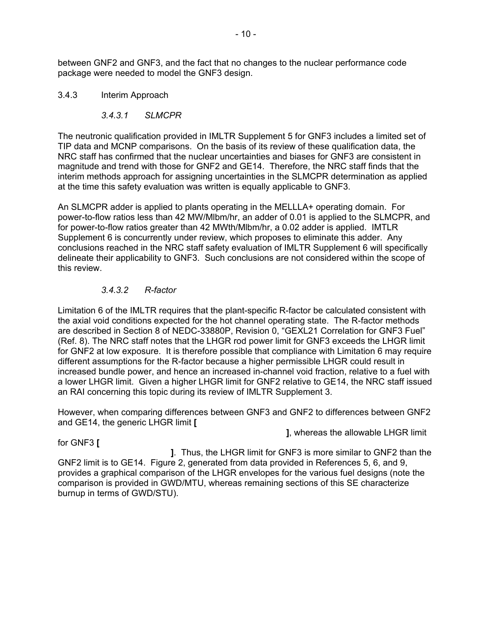between GNF2 and GNF3, and the fact that no changes to the nuclear performance code package were needed to model the GNF3 design.

### 3.4.3 Interim Approach

### *3.4.3.1 SLMCPR*

The neutronic qualification provided in IMLTR Supplement 5 for GNF3 includes a limited set of TIP data and MCNP comparisons. On the basis of its review of these qualification data, the NRC staff has confirmed that the nuclear uncertainties and biases for GNF3 are consistent in magnitude and trend with those for GNF2 and GE14. Therefore, the NRC staff finds that the interim methods approach for assigning uncertainties in the SLMCPR determination as applied at the time this safety evaluation was written is equally applicable to GNF3.

An SLMCPR adder is applied to plants operating in the MELLLA+ operating domain. For power-to-flow ratios less than 42 MW/Mlbm/hr, an adder of 0.01 is applied to the SLMCPR, and for power-to-flow ratios greater than 42 MWth/Mlbm/hr, a 0.02 adder is applied. IMTLR Supplement 6 is concurrently under review, which proposes to eliminate this adder. Any conclusions reached in the NRC staff safety evaluation of IMLTR Supplement 6 will specifically delineate their applicability to GNF3. Such conclusions are not considered within the scope of this review.

### *3.4.3.2 R-factor*

Limitation 6 of the IMLTR requires that the plant-specific R-factor be calculated consistent with the axial void conditions expected for the hot channel operating state. The R-factor methods are described in Section 8 of NEDC-33880P, Revision 0, "GEXL21 Correlation for GNF3 Fuel" (Ref. 8). The NRC staff notes that the LHGR rod power limit for GNF3 exceeds the LHGR limit for GNF2 at low exposure. It is therefore possible that compliance with Limitation 6 may require different assumptions for the R-factor because a higher permissible LHGR could result in increased bundle power, and hence an increased in-channel void fraction, relative to a fuel with a lower LHGR limit. Given a higher LHGR limit for GNF2 relative to GE14, the NRC staff issued an RAI concerning this topic during its review of IMLTR Supplement 3.

However, when comparing differences between GNF3 and GNF2 to differences between GNF2 and GE14, the generic LHGR limit **[** 

 **]**, whereas the allowable LHGR limit

#### for GNF3 **[**

 **]**. Thus, the LHGR limit for GNF3 is more similar to GNF2 than the GNF2 limit is to GE14. Figure 2, generated from data provided in References 5, 6, and 9, provides a graphical comparison of the LHGR envelopes for the various fuel designs (note the comparison is provided in GWD/MTU, whereas remaining sections of this SE characterize burnup in terms of GWD/STU).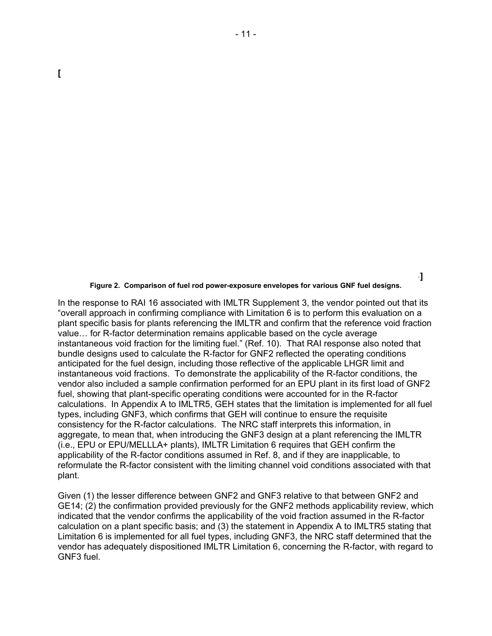#### **Figure 2. Comparison of fuel rod power-exposure envelopes for various GNF fuel designs.**

In the response to RAI 16 associated with IMLTR Supplement 3, the vendor pointed out that its "overall approach in confirming compliance with Limitation 6 is to perform this evaluation on a plant specific basis for plants referencing the IMLTR and confirm that the reference void fraction value… for R-factor determination remains applicable based on the cycle average instantaneous void fraction for the limiting fuel." (Ref. 10). That RAI response also noted that bundle designs used to calculate the R-factor for GNF2 reflected the operating conditions anticipated for the fuel design, including those reflective of the applicable LHGR limit and instantaneous void fractions. To demonstrate the applicability of the R-factor conditions, the vendor also included a sample confirmation performed for an EPU plant in its first load of GNF2 fuel, showing that plant-specific operating conditions were accounted for in the R-factor calculations. In Appendix A to IMLTR5, GEH states that the limitation is implemented for all fuel types, including GNF3, which confirms that GEH will continue to ensure the requisite consistency for the R-factor calculations. The NRC staff interprets this information, in aggregate, to mean that, when introducing the GNF3 design at a plant referencing the IMLTR (i.e., EPU or EPU/MELLLA+ plants), IMLTR Limitation 6 requires that GEH confirm the applicability of the R-factor conditions assumed in Ref. 8, and if they are inapplicable, to reformulate the R-factor consistent with the limiting channel void conditions associated with that plant.

Given (1) the lesser difference between GNF2 and GNF3 relative to that between GNF2 and GE14; (2) the confirmation provided previously for the GNF2 methods applicability review, which indicated that the vendor confirms the applicability of the void fraction assumed in the R-factor calculation on a plant specific basis; and (3) the statement in Appendix A to IMLTR5 stating that Limitation 6 is implemented for all fuel types, including GNF3, the NRC staff determined that the vendor has adequately dispositioned IMLTR Limitation 6, concerning the R-factor, with regard to GNF3 fuel.

**]**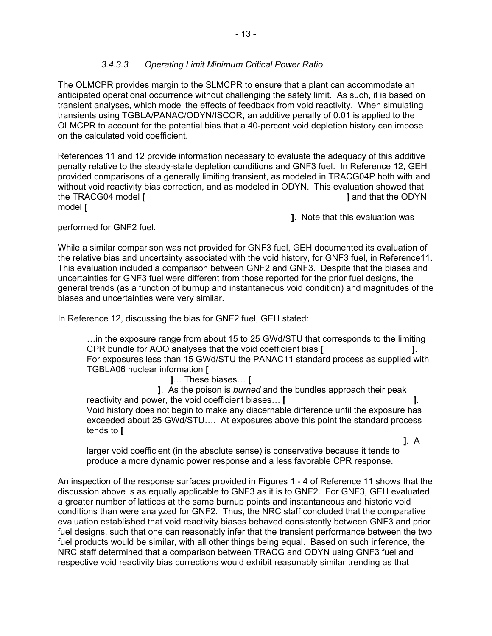### *3.4.3.3 Operating Limit Minimum Critical Power Ratio*

The OLMCPR provides margin to the SLMCPR to ensure that a plant can accommodate an anticipated operational occurrence without challenging the safety limit. As such, it is based on transient analyses, which model the effects of feedback from void reactivity. When simulating transients using TGBLA/PANAC/ODYN/ISCOR, an additive penalty of 0.01 is applied to the OLMCPR to account for the potential bias that a 40-percent void depletion history can impose on the calculated void coefficient.

References 11 and 12 provide information necessary to evaluate the adequacy of this additive penalty relative to the steady-state depletion conditions and GNF3 fuel. In Reference 12, GEH provided comparisons of a generally limiting transient, as modeled in TRACG04P both with and without void reactivity bias correction, and as modeled in ODYN. This evaluation showed that the TRACG04 model **[ ]** and that the ODYN model **[** 

 **]**. Note that this evaluation was

performed for GNF2 fuel.

While a similar comparison was not provided for GNF3 fuel, GEH documented its evaluation of the relative bias and uncertainty associated with the void history, for GNF3 fuel, in Reference11. This evaluation included a comparison between GNF2 and GNF3. Despite that the biases and uncertainties for GNF3 fuel were different from those reported for the prior fuel designs, the general trends (as a function of burnup and instantaneous void condition) and magnitudes of the biases and uncertainties were very similar.

In Reference 12, discussing the bias for GNF2 fuel, GEH stated:

…in the exposure range from about 15 to 25 GWd/STU that corresponds to the limiting CPR bundle for AOO analyses that the void coefficient bias **[ ]**. For exposures less than 15 GWd/STU the PANAC11 standard process as supplied with TGBLA06 nuclear information **[** 

 **]**… These biases… **[** 

 **]**. As the poison is *burned* and the bundles approach their peak reactivity and power, the void coefficient biases… **[ ]**. Void history does not begin to make any discernable difference until the exposure has exceeded about 25 GWd/STU…. At exposures above this point the standard process tends to **[** 

 **]**. A larger void coefficient (in the absolute sense) is conservative because it tends to produce a more dynamic power response and a less favorable CPR response.

An inspection of the response surfaces provided in Figures 1 - 4 of Reference 11 shows that the discussion above is as equally applicable to GNF3 as it is to GNF2. For GNF3, GEH evaluated a greater number of lattices at the same burnup points and instantaneous and historic void conditions than were analyzed for GNF2. Thus, the NRC staff concluded that the comparative evaluation established that void reactivity biases behaved consistently between GNF3 and prior fuel designs, such that one can reasonably infer that the transient performance between the two fuel products would be similar, with all other things being equal. Based on such inference, the NRC staff determined that a comparison between TRACG and ODYN using GNF3 fuel and respective void reactivity bias corrections would exhibit reasonably similar trending as that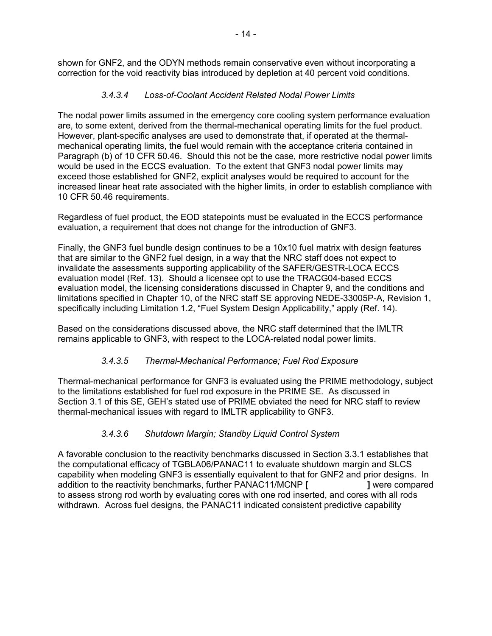shown for GNF2, and the ODYN methods remain conservative even without incorporating a correction for the void reactivity bias introduced by depletion at 40 percent void conditions.

## *3.4.3.4 Loss-of-Coolant Accident Related Nodal Power Limits*

The nodal power limits assumed in the emergency core cooling system performance evaluation are, to some extent, derived from the thermal-mechanical operating limits for the fuel product. However, plant-specific analyses are used to demonstrate that, if operated at the thermalmechanical operating limits, the fuel would remain with the acceptance criteria contained in Paragraph (b) of 10 CFR 50.46. Should this not be the case, more restrictive nodal power limits would be used in the ECCS evaluation. To the extent that GNF3 nodal power limits may exceed those established for GNF2, explicit analyses would be required to account for the increased linear heat rate associated with the higher limits, in order to establish compliance with 10 CFR 50.46 requirements.

Regardless of fuel product, the EOD statepoints must be evaluated in the ECCS performance evaluation, a requirement that does not change for the introduction of GNF3.

Finally, the GNF3 fuel bundle design continues to be a 10x10 fuel matrix with design features that are similar to the GNF2 fuel design, in a way that the NRC staff does not expect to invalidate the assessments supporting applicability of the SAFER/GESTR-LOCA ECCS evaluation model (Ref. 13). Should a licensee opt to use the TRACG04-based ECCS evaluation model, the licensing considerations discussed in Chapter 9, and the conditions and limitations specified in Chapter 10, of the NRC staff SE approving NEDE-33005P-A, Revision 1, specifically including Limitation 1.2, "Fuel System Design Applicability," apply (Ref. 14).

Based on the considerations discussed above, the NRC staff determined that the IMLTR remains applicable to GNF3, with respect to the LOCA-related nodal power limits.

### *3.4.3.5 Thermal-Mechanical Performance; Fuel Rod Exposure*

Thermal-mechanical performance for GNF3 is evaluated using the PRIME methodology, subject to the limitations established for fuel rod exposure in the PRIME SE. As discussed in Section 3.1 of this SE, GEH's stated use of PRIME obviated the need for NRC staff to review thermal-mechanical issues with regard to IMLTR applicability to GNF3.

# *3.4.3.6 Shutdown Margin; Standby Liquid Control System*

A favorable conclusion to the reactivity benchmarks discussed in Section 3.3.1 establishes that the computational efficacy of TGBLA06/PANAC11 to evaluate shutdown margin and SLCS capability when modeling GNF3 is essentially equivalent to that for GNF2 and prior designs. In addition to the reactivity benchmarks, further PANAC11/MCNP **[ ]** were compared to assess strong rod worth by evaluating cores with one rod inserted, and cores with all rods withdrawn. Across fuel designs, the PANAC11 indicated consistent predictive capability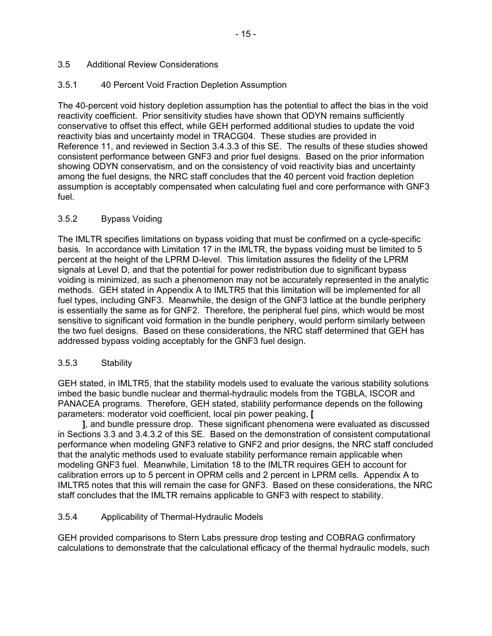### 3.5 Additional Review Considerations

### 3.5.1 40 Percent Void Fraction Depletion Assumption

The 40-percent void history depletion assumption has the potential to affect the bias in the void reactivity coefficient. Prior sensitivity studies have shown that ODYN remains sufficiently conservative to offset this effect, while GEH performed additional studies to update the void reactivity bias and uncertainty model in TRACG04. These studies are provided in Reference 11, and reviewed in Section 3.4.3.3 of this SE. The results of these studies showed consistent performance between GNF3 and prior fuel designs. Based on the prior information showing ODYN conservatism, and on the consistency of void reactivity bias and uncertainty among the fuel designs, the NRC staff concludes that the 40 percent void fraction depletion assumption is acceptably compensated when calculating fuel and core performance with GNF3 fuel.

### 3.5.2 Bypass Voiding

The IMLTR specifies limitations on bypass voiding that must be confirmed on a cycle-specific basis. In accordance with Limitation 17 in the IMLTR, the bypass voiding must be limited to 5 percent at the height of the LPRM D-level. This limitation assures the fidelity of the LPRM signals at Level D, and that the potential for power redistribution due to significant bypass voiding is minimized, as such a phenomenon may not be accurately represented in the analytic methods. GEH stated in Appendix A to IMLTR5 that this limitation will be implemented for all fuel types, including GNF3. Meanwhile, the design of the GNF3 lattice at the bundle periphery is essentially the same as for GNF2. Therefore, the peripheral fuel pins, which would be most sensitive to significant void formation in the bundle periphery, would perform similarly between the two fuel designs. Based on these considerations, the NRC staff determined that GEH has addressed bypass voiding acceptably for the GNF3 fuel design.

#### 3.5.3 Stability

GEH stated, in IMLTR5, that the stability models used to evaluate the various stability solutions imbed the basic bundle nuclear and thermal-hydraulic models from the TGBLA, ISCOR and PANACEA programs. Therefore, GEH stated, stability performance depends on the following parameters: moderator void coefficient, local pin power peaking, **[** 

 **]**, and bundle pressure drop. These significant phenomena were evaluated as discussed in Sections 3.3 and 3.4.3.2 of this SE. Based on the demonstration of consistent computational performance when modeling GNF3 relative to GNF2 and prior designs, the NRC staff concluded that the analytic methods used to evaluate stability performance remain applicable when modeling GNF3 fuel. Meanwhile, Limitation 18 to the IMLTR requires GEH to account for calibration errors up to 5 percent in OPRM cells and 2 percent in LPRM cells. Appendix A to IMLTR5 notes that this will remain the case for GNF3. Based on these considerations, the NRC staff concludes that the IMLTR remains applicable to GNF3 with respect to stability.

#### 3.5.4 Applicability of Thermal-Hydraulic Models

GEH provided comparisons to Stern Labs pressure drop testing and COBRAG confirmatory calculations to demonstrate that the calculational efficacy of the thermal hydraulic models, such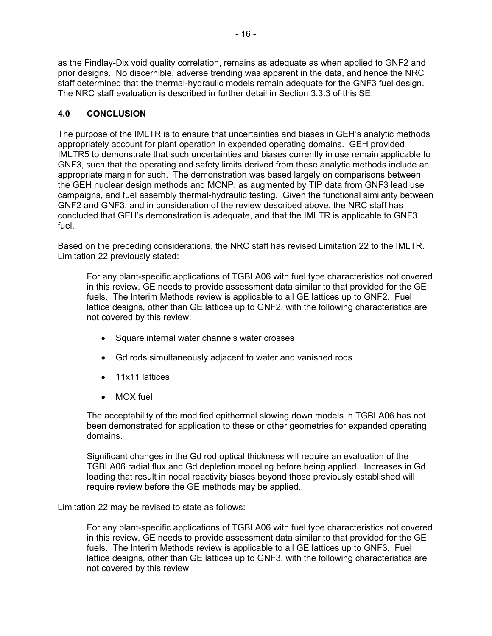as the Findlay-Dix void quality correlation, remains as adequate as when applied to GNF2 and prior designs. No discernible, adverse trending was apparent in the data, and hence the NRC staff determined that the thermal-hydraulic models remain adequate for the GNF3 fuel design. The NRC staff evaluation is described in further detail in Section 3.3.3 of this SE.

### **4.0 CONCLUSION**

The purpose of the IMLTR is to ensure that uncertainties and biases in GEH's analytic methods appropriately account for plant operation in expended operating domains. GEH provided IMLTR5 to demonstrate that such uncertainties and biases currently in use remain applicable to GNF3, such that the operating and safety limits derived from these analytic methods include an appropriate margin for such. The demonstration was based largely on comparisons between the GEH nuclear design methods and MCNP, as augmented by TIP data from GNF3 lead use campaigns, and fuel assembly thermal-hydraulic testing. Given the functional similarity between GNF2 and GNF3, and in consideration of the review described above, the NRC staff has concluded that GEH's demonstration is adequate, and that the IMLTR is applicable to GNF3 fuel.

Based on the preceding considerations, the NRC staff has revised Limitation 22 to the IMLTR. Limitation 22 previously stated:

For any plant-specific applications of TGBLA06 with fuel type characteristics not covered in this review, GE needs to provide assessment data similar to that provided for the GE fuels. The Interim Methods review is applicable to all GE lattices up to GNF2. Fuel lattice designs, other than GE lattices up to GNF2, with the following characteristics are not covered by this review:

- Square internal water channels water crosses
- Gd rods simultaneously adjacent to water and vanished rods
- 11x11 lattices
- MOX fuel

The acceptability of the modified epithermal slowing down models in TGBLA06 has not been demonstrated for application to these or other geometries for expanded operating domains.

Significant changes in the Gd rod optical thickness will require an evaluation of the TGBLA06 radial flux and Gd depletion modeling before being applied. Increases in Gd loading that result in nodal reactivity biases beyond those previously established will require review before the GE methods may be applied.

Limitation 22 may be revised to state as follows:

For any plant-specific applications of TGBLA06 with fuel type characteristics not covered in this review, GE needs to provide assessment data similar to that provided for the GE fuels. The Interim Methods review is applicable to all GE lattices up to GNF3. Fuel lattice designs, other than GE lattices up to GNF3, with the following characteristics are not covered by this review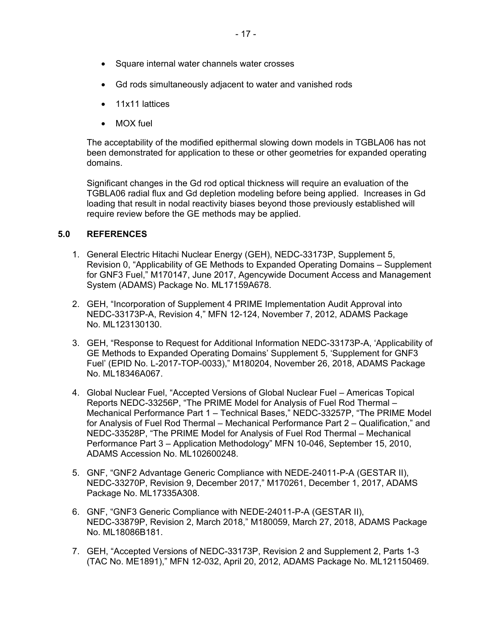- Square internal water channels water crosses
- Gd rods simultaneously adjacent to water and vanished rods
- 11x11 lattices
- MOX fuel

The acceptability of the modified epithermal slowing down models in TGBLA06 has not been demonstrated for application to these or other geometries for expanded operating domains.

Significant changes in the Gd rod optical thickness will require an evaluation of the TGBLA06 radial flux and Gd depletion modeling before being applied. Increases in Gd loading that result in nodal reactivity biases beyond those previously established will require review before the GE methods may be applied.

### **5.0 REFERENCES**

- 1. General Electric Hitachi Nuclear Energy (GEH), NEDC-33173P, Supplement 5, Revision 0, "Applicability of GE Methods to Expanded Operating Domains – Supplement for GNF3 Fuel," M170147, June 2017, Agencywide Document Access and Management System (ADAMS) Package No. ML17159A678.
- 2. GEH, "Incorporation of Supplement 4 PRIME Implementation Audit Approval into NEDC-33173P-A, Revision 4," MFN 12-124, November 7, 2012, ADAMS Package No. ML123130130.
- 3. GEH, "Response to Request for Additional Information NEDC-33173P-A, 'Applicability of GE Methods to Expanded Operating Domains' Supplement 5, 'Supplement for GNF3 Fuel' (EPID No. L-2017-TOP-0033)," M180204, November 26, 2018, ADAMS Package No. ML18346A067.
- 4. Global Nuclear Fuel, "Accepted Versions of Global Nuclear Fuel Americas Topical Reports NEDC-33256P, "The PRIME Model for Analysis of Fuel Rod Thermal – Mechanical Performance Part 1 – Technical Bases," NEDC-33257P, "The PRIME Model for Analysis of Fuel Rod Thermal – Mechanical Performance Part 2 – Qualification," and NEDC-33528P, "The PRIME Model for Analysis of Fuel Rod Thermal – Mechanical Performance Part 3 – Application Methodology" MFN 10-046, September 15, 2010, ADAMS Accession No. ML102600248.
- 5. GNF, "GNF2 Advantage Generic Compliance with NEDE-24011-P-A (GESTAR II), NEDC-33270P, Revision 9, December 2017," M170261, December 1, 2017, ADAMS Package No. ML17335A308.
- 6. GNF, "GNF3 Generic Compliance with NEDE-24011-P-A (GESTAR II), NEDC-33879P, Revision 2, March 2018," M180059, March 27, 2018, ADAMS Package No. ML18086B181.
- 7. GEH, "Accepted Versions of NEDC-33173P, Revision 2 and Supplement 2, Parts 1-3 (TAC No. ME1891)," MFN 12-032, April 20, 2012, ADAMS Package No. ML121150469.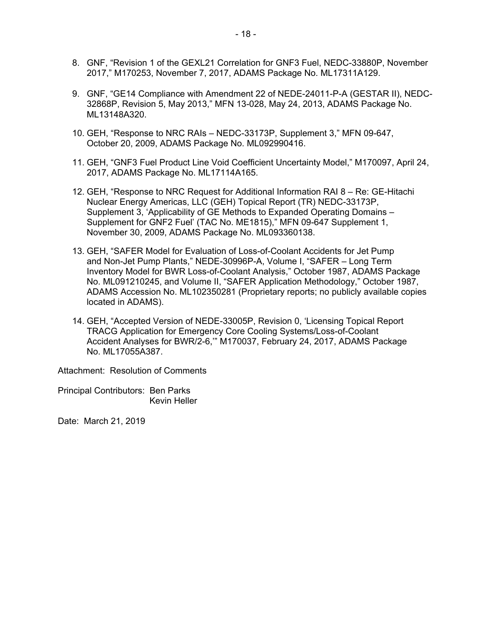- 8. GNF, "Revision 1 of the GEXL21 Correlation for GNF3 Fuel, NEDC-33880P, November 2017," M170253, November 7, 2017, ADAMS Package No. ML17311A129.
- 9. GNF, "GE14 Compliance with Amendment 22 of NEDE-24011-P-A (GESTAR II), NEDC-32868P, Revision 5, May 2013," MFN 13-028, May 24, 2013, ADAMS Package No. ML13148A320.
- 10. GEH, "Response to NRC RAIs NEDC-33173P, Supplement 3," MFN 09-647, October 20, 2009, ADAMS Package No. ML092990416.
- 11. GEH, "GNF3 Fuel Product Line Void Coefficient Uncertainty Model," M170097, April 24, 2017, ADAMS Package No. ML17114A165.
- 12. GEH, "Response to NRC Request for Additional Information RAI 8 Re: GE-Hitachi Nuclear Energy Americas, LLC (GEH) Topical Report (TR) NEDC-33173P, Supplement 3, 'Applicability of GE Methods to Expanded Operating Domains – Supplement for GNF2 Fuel' (TAC No. ME1815)," MFN 09-647 Supplement 1, November 30, 2009, ADAMS Package No. ML093360138.
- 13. GEH, "SAFER Model for Evaluation of Loss-of-Coolant Accidents for Jet Pump and Non-Jet Pump Plants," NEDE-30996P-A, Volume I, "SAFER – Long Term Inventory Model for BWR Loss-of-Coolant Analysis," October 1987, ADAMS Package No. ML091210245, and Volume II, "SAFER Application Methodology," October 1987, ADAMS Accession No. ML102350281 (Proprietary reports; no publicly available copies located in ADAMS).
- 14. GEH, "Accepted Version of NEDE-33005P, Revision 0, 'Licensing Topical Report TRACG Application for Emergency Core Cooling Systems/Loss-of-Coolant Accident Analyses for BWR/2-6,'" M170037, February 24, 2017, ADAMS Package No. ML17055A387.

Attachment: Resolution of Comments

Principal Contributors: Ben Parks Kevin Heller

Date: March 21, 2019